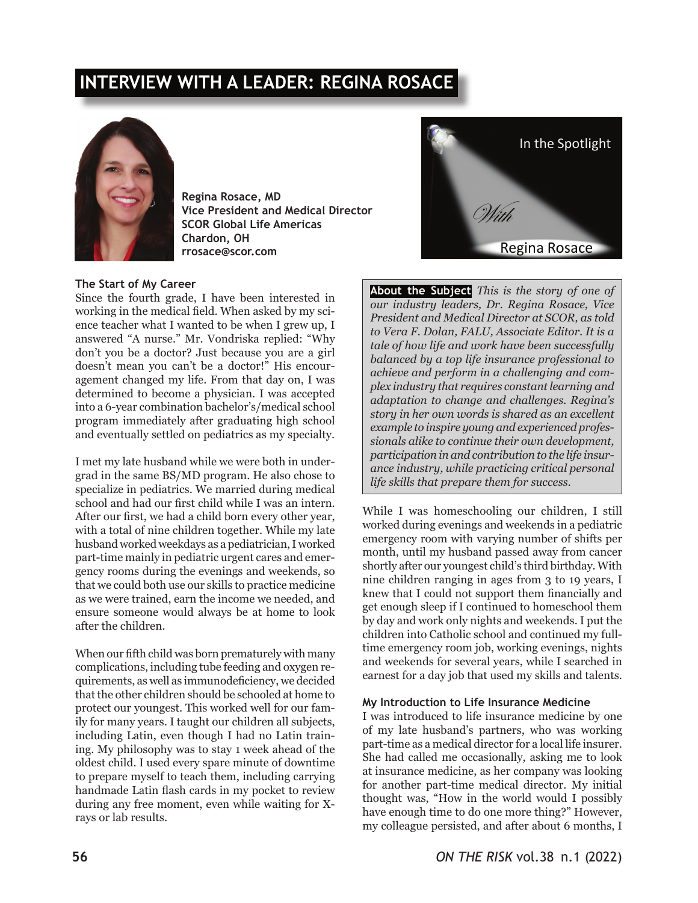# **INTERVIEW WITH A LEADER: REGINA ROSACE**



**Regina Rosace, MD Vice President and Medical Director SCOR Global Life Americas Chardon, OH rrosace@scor.com**

## **The Start of My Career**

Since the fourth grade, I have been interested in working in the medical field. When asked by my science teacher what I wanted to be when I grew up, I answered "A nurse." Mr. Vondriska replied: "Why don't you be a doctor? Just because you are a girl doesn't mean you can't be a doctor!" His encouragement changed my life. From that day on, I was determined to become a physician. I was accepted into a 6-year combination bachelor's/medical school program immediately after graduating high school and eventually settled on pediatrics as my specialty.

I met my late husband while we were both in undergrad in the same BS/MD program. He also chose to specialize in pediatrics. We married during medical school and had our first child while I was an intern. After our first, we had a child born every other year, with a total of nine children together. While my late husband worked weekdays as a pediatrician, I worked part-time mainly in pediatric urgent cares and emergency rooms during the evenings and weekends, so that we could both use our skills to practice medicine as we were trained, earn the income we needed, and ensure someone would always be at home to look after the children.

When our fifth child was born prematurely with many complications, including tube feeding and oxygen requirements, as well as immunodeficiency, we decided that the other children should be schooled at home to protect our youngest. This worked well for our family for many years. I taught our children all subjects, including Latin, even though I had no Latin training. My philosophy was to stay 1 week ahead of the oldest child. I used every spare minute of downtime to prepare myself to teach them, including carrying handmade Latin flash cards in my pocket to review during any free moment, even while waiting for Xrays or lab results.



**About the Subject** *This is the story of one of our industry leaders, Dr. Regina Rosace, Vice President and Medical Director at SCOR, as told to Vera F. Dolan, FALU, Associate Editor. It is a tale of how life and work have been successfully balanced by a top life insurance professional to achieve and perform in a challenging and complex industry that requires constant learning and adaptation to change and challenges. Regina's story in her own words is shared as an excellent example to inspire young and experienced professionals alike to continue their own development, participation in and contribution to the life insurance industry, while practicing critical personal life skills that prepare them for success.*

While I was homeschooling our children, I still worked during evenings and weekends in a pediatric emergency room with varying number of shifts per month, until my husband passed away from cancer shortly after our youngest child's third birthday. With nine children ranging in ages from 3 to 19 years, I knew that I could not support them financially and get enough sleep if I continued to homeschool them by day and work only nights and weekends. I put the children into Catholic school and continued my fulltime emergency room job, working evenings, nights and weekends for several years, while I searched in earnest for a day job that used my skills and talents.

#### **My Introduction to Life Insurance Medicine**

I was introduced to life insurance medicine by one of my late husband's partners, who was working part-time as a medical director for a local life insurer. She had called me occasionally, asking me to look at insurance medicine, as her company was looking for another part-time medical director. My initial thought was, "How in the world would I possibly have enough time to do one more thing?" However, my colleague persisted, and after about 6 months, I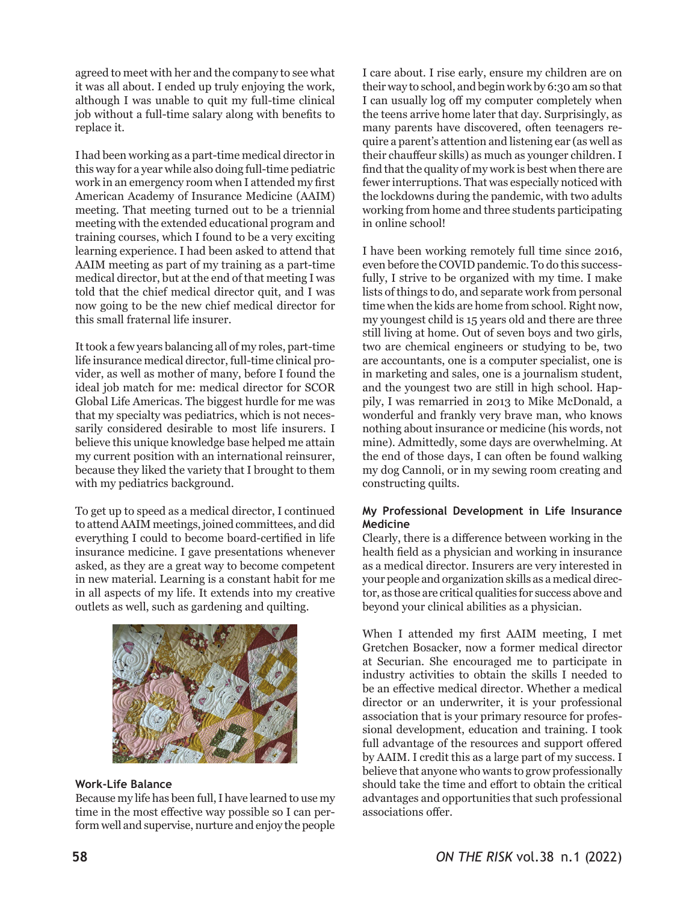agreed to meet with her and the company to see what it was all about. I ended up truly enjoying the work, although I was unable to quit my full-time clinical job without a full-time salary along with benefits to replace it.

I had been working as a part-time medical director in this way for a year while also doing full-time pediatric work in an emergency room when I attended my first American Academy of Insurance Medicine (AAIM) meeting. That meeting turned out to be a triennial meeting with the extended educational program and training courses, which I found to be a very exciting learning experience. I had been asked to attend that AAIM meeting as part of my training as a part-time medical director, but at the end of that meeting I was told that the chief medical director quit, and I was now going to be the new chief medical director for this small fraternal life insurer.

It took a few years balancing all of my roles, part-time life insurance medical director, full-time clinical provider, as well as mother of many, before I found the ideal job match for me: medical director for SCOR Global Life Americas. The biggest hurdle for me was that my specialty was pediatrics, which is not necessarily considered desirable to most life insurers. I believe this unique knowledge base helped me attain my current position with an international reinsurer, because they liked the variety that I brought to them with my pediatrics background.

To get up to speed as a medical director, I continued to attend AAIM meetings, joined committees, and did everything I could to become board-certified in life insurance medicine. I gave presentations whenever asked, as they are a great way to become competent in new material. Learning is a constant habit for me in all aspects of my life. It extends into my creative outlets as well, such as gardening and quilting.



# **Work-Life Balance**

Because my life has been full, I have learned to use my time in the most effective way possible so I can perform well and supervise, nurture and enjoy the people

I care about. I rise early, ensure my children are on their way to school, and begin work by 6:30 am so that I can usually log off my computer completely when the teens arrive home later that day. Surprisingly, as many parents have discovered, often teenagers require a parent's attention and listening ear (as well as their chauffeur skills) as much as younger children. I find that the quality of my work is best when there are fewer interruptions. That was especially noticed with the lockdowns during the pandemic, with two adults working from home and three students participating in online school!

I have been working remotely full time since 2016, even before the COVID pandemic. To do this successfully, I strive to be organized with my time. I make lists of things to do, and separate work from personal time when the kids are home from school. Right now, my youngest child is 15 years old and there are three still living at home. Out of seven boys and two girls, two are chemical engineers or studying to be, two are accountants, one is a computer specialist, one is in marketing and sales, one is a journalism student, and the youngest two are still in high school. Happily, I was remarried in 2013 to Mike McDonald, a wonderful and frankly very brave man, who knows nothing about insurance or medicine (his words, not mine). Admittedly, some days are overwhelming. At the end of those days, I can often be found walking my dog Cannoli, or in my sewing room creating and constructing quilts.

## **My Professional Development in Life Insurance Medicine**

Clearly, there is a difference between working in the health field as a physician and working in insurance as a medical director. Insurers are very interested in your people and organization skills as a medical director, as those are critical qualities for success above and beyond your clinical abilities as a physician.

When I attended my first AAIM meeting, I met Gretchen Bosacker, now a former medical director at Securian. She encouraged me to participate in industry activities to obtain the skills I needed to be an effective medical director. Whether a medical director or an underwriter, it is your professional association that is your primary resource for professional development, education and training. I took full advantage of the resources and support offered by AAIM. I credit this as a large part of my success. I believe that anyone who wants to grow professionally should take the time and effort to obtain the critical advantages and opportunities that such professional associations offer.